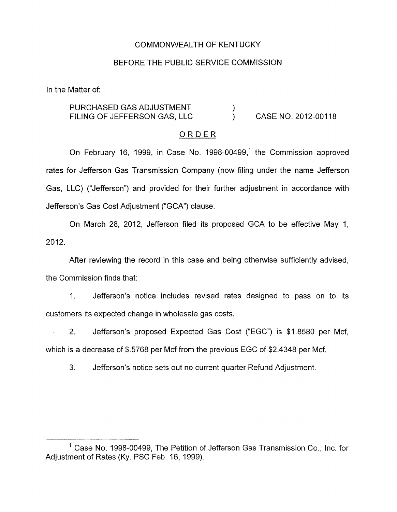## COMMONWEALTH OF KENTUCKY

## BEFORE THE PUBLIC SERVICE COMMISSION

In the Matter of:

#### CASE NO. 2012-00118 PURCHASED GAS ADJUSTMENT  $)$ <br>FILING OF JEFFERSON GAS, LLC  $)$ FILING OF JEFFERSON GAS, LLC 1

### ORDER

On February 16, 1999, in Case No. 1998-00499,' the Commission approved rates for Jefferson Gas Transmission Company (now filing under the name Jefferson Gas, LLC) ("Jefferson") and provided for their further adjustment in accordance with Jefferson's Gas Cost Adjustment ("GCA") clause.

On March 28, 2012, Jefferson filed its proposed GCA to be effective May 1, 2012.

After reviewing the record in this case and being otherwise sufficiently advised, the Commission finds that:

1. Jefferson's notice includes revised rates designed to pass on to its customers its expected change in wholesale gas costs.

2. Jefferson's proposed Expected Gas Cost ("EGC") is \$1.8580 per Mcf, which is a decrease of \$.5768 per Mcf from the previous EGC of \$2.4348 per Mcf.

3. Jefferson's notice sets out no current quarter Refund Adjustment.

 $<sup>1</sup>$  Case No. 1998-00499, The Petition of Jefferson Gas Transmission Co., Inc. for</sup> Adjustment of Rates (Ky. PSC Feb. 16, 1999).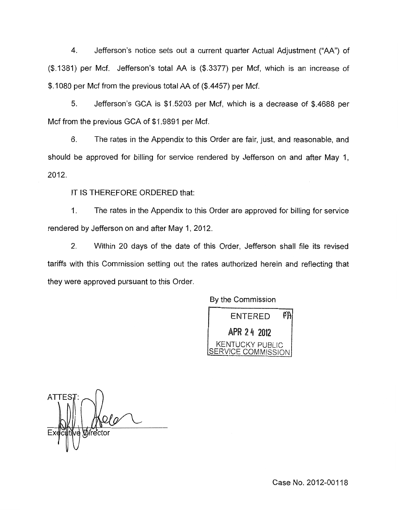4. Jefferson's notice sets out a current quarter Actual Adjustment ("AA") of (\$.1381) per Mcf. Jefferson's total AA is (\$.3377) per Mcf, which is an increase of \$.IO80 per Mcf from the previous total AA of (\$.4457) per Mcf.

*5.* Jefferson's GCA is \$1.5203 per Mcf, which is a decrease of \$.4688 per Mcf from the previous GCA of \$1.9891 per Mcf.

6. The rates in the Appendix to this Order are fair, just, and reasonable, and should be approved for billing for service rendered by Jefferson on and after May 1, 2012.

IT IS THEREFORE ORDERED that:

1. The rates in the Appendix to this Order are approved for billing for service rendered by Jefferson on and after May 1, 2012.

2. Within 20 days of the date of this Order, Jefferson shall file its revised tariffs with this Commission setting out the rates authorized herein and reflecting that they were approved pursuant to this Order.

By the Commission



**ATTES** 

Case No. 2012-00118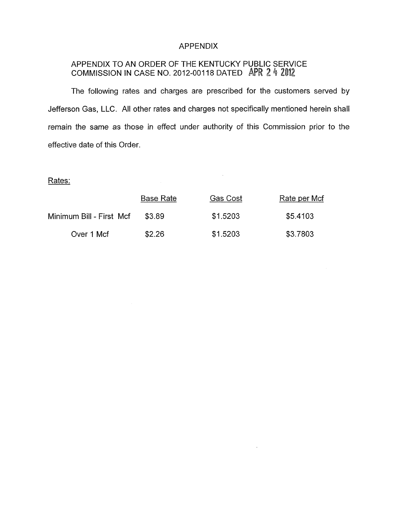## APPENDIX

## APPENDIX TO AN ORDER OF THE KENTUCKY PUBLIC SERVICE COMMISSION IN CASE NO. 2012-00118 DATED AP

The following rates and charges are prescribed for the customers served by Jefferson Gas, LLC. All other rates and charges not specifically mentioned herein shall remain the same as those in effect under authority of this Commission prior to the effective date of this Order.

 $\mathcal{A}$ 

 $\bar{\phantom{a}}$ 

# Rates:

|                          | <b>Base Rate</b> | Gas Cost | Rate per Mcf |
|--------------------------|------------------|----------|--------------|
| Minimum Bill - First Mcf | \$3.89           | \$1.5203 | \$5.4103     |
| Over 1 Mcf               | \$2.26           | \$1,5203 | \$3.7803     |